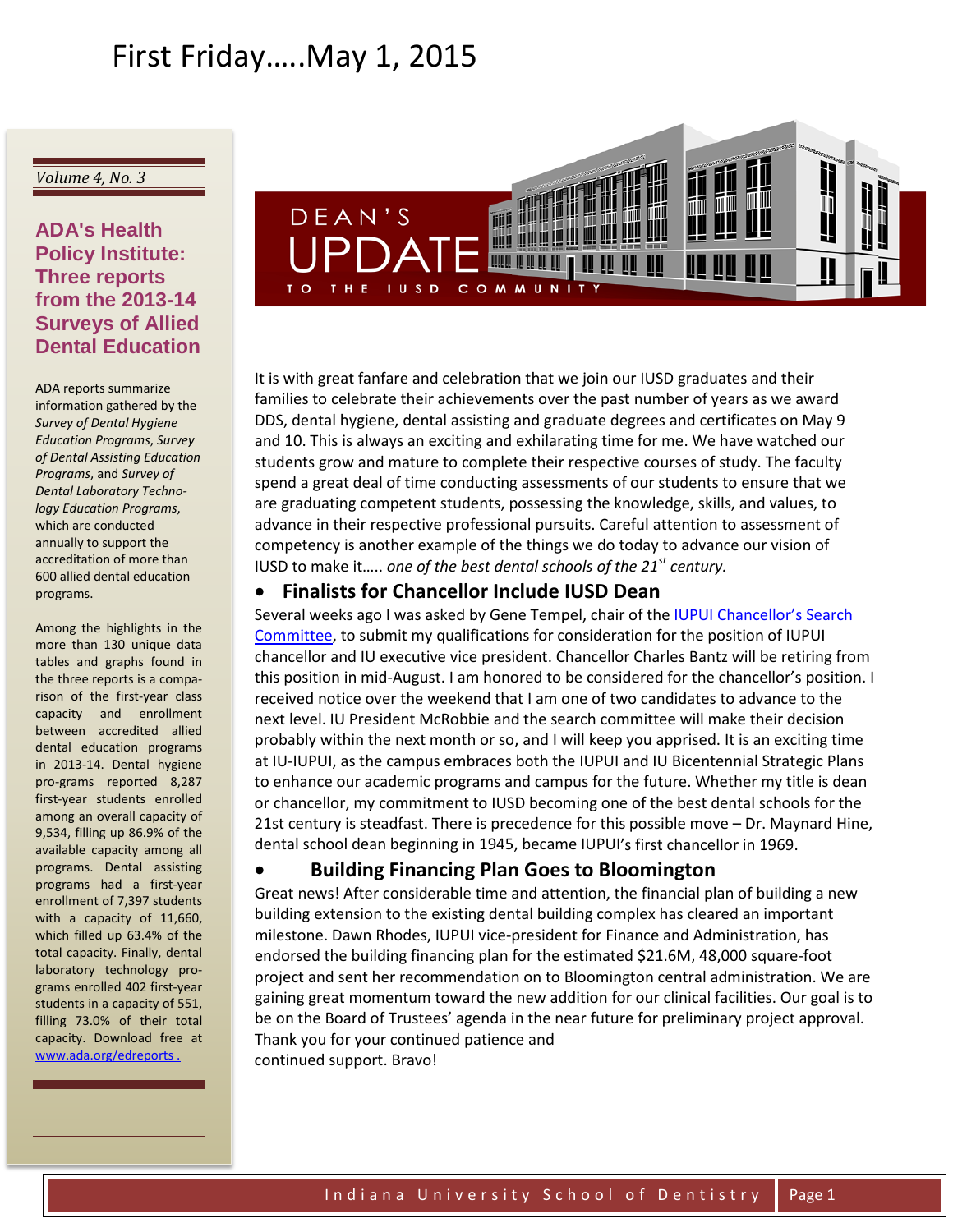# First Friday…..May 1, 2015

#### *Volume 4, No. 3*

# **ADA's Health Policy Institute: Three reports from the 2013-14 Surveys of Allied Dental Education**

ADA reports summarize information gathered by the *Survey of Dental Hygiene Education Programs*, *Survey of Dental Assisting Education Programs*, and *Survey of Dental Laboratory Technology Education Programs*, which are conducted annually to support the accreditation of more than 600 allied dental education programs.

Among the highlights in the more than 130 unique data tables and graphs found in the three reports is a comparison of the first-year class capacity and enrollment between accredited allied dental education programs in 2013-14. Dental hygiene pro-grams reported 8,287 first-year students enrolled among an overall capacity of 9,534, filling up 86.9% of the available capacity among all programs. Dental assisting programs had a first-year enrollment of 7,397 students with a capacity of 11,660, which filled up 63.4% of the total capacity. Finally, dental laboratory technology programs enrolled 402 first-year students in a capacity of 551, filling 73.0% of their total capacity. Download free at [www.ada.org/edreports](http://echo4.bluehornet.com/ct/59783241:29821295359:m:1:2505764613:0F3F52A284D4DF753FA3C72F7CF5BB93:r) .



It is with great fanfare and celebration that we join our IUSD graduates and their families to celebrate their achievements over the past number of years as we award DDS, dental hygiene, dental assisting and graduate degrees and certificates on May 9 and 10. This is always an exciting and exhilarating time for me. We have watched our students grow and mature to complete their respective courses of study. The faculty spend a great deal of time conducting assessments of our students to ensure that we are graduating competent students, possessing the knowledge, skills, and values, to advance in their respective professional pursuits. Careful attention to assessment of competency is another example of the things we do today to advance our vision of IUSD to make it….. *one of the best dental schools of the 21st century.*

### • **Finalists for Chancellor Include IUSD Dean**

Several weeks ago I was asked by Gene Tempel, chair of the [IUPUI Chancellor's Search](http://news.iupui.edu/releases/iu/2015/02/iupui-chancellor-search-committee.shtml)  [Committee,](http://news.iupui.edu/releases/iu/2015/02/iupui-chancellor-search-committee.shtml) to submit my qualifications for consideration for the position of IUPUI chancellor and IU executive vice president. Chancellor Charles Bantz will be retiring from this position in mid-August. I am honored to be considered for the chancellor's position. I received notice over the weekend that I am one of two candidates to advance to the next level. IU President McRobbie and the search committee will make their decision probably within the next month or so, and I will keep you apprised. It is an exciting time at IU-IUPUI, as the campus embraces both the IUPUI and IU Bicentennial Strategic Plans to enhance our academic programs and campus for the future. Whether my title is dean or chancellor, my commitment to IUSD becoming one of the best dental schools for the 21st century is steadfast. There is precedence for this possible move – Dr. Maynard Hine, dental school dean beginning in 1945, became IUPUI's first chancellor in 1969.

### • **Building Financing Plan Goes to Bloomington**

Great news! After considerable time and attention, the financial plan of building a new building extension to the existing dental building complex has cleared an important milestone. Dawn Rhodes, IUPUI vice-president for Finance and Administration, has endorsed the building financing plan for the estimated \$21.6M, 48,000 square-foot project and sent her recommendation on to Bloomington central administration. We are gaining great momentum toward the new addition for our clinical facilities. Our goal is to be on the Board of Trustees' agenda in the near future for preliminary project approval. Thank you for your continued patience and continued support. Bravo!